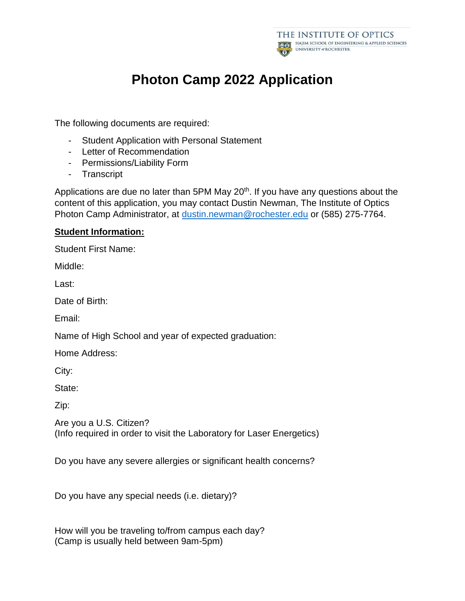

# **Photon Camp 2022 Application**

The following documents are required:

- Student Application with Personal Statement
- Letter of Recommendation
- Permissions/Liability Form
- Transcript

Applications are due no later than  $5PM$  May  $20<sup>th</sup>$ . If you have any questions about the content of this application, you may contact Dustin Newman, The Institute of Optics Photon Camp Administrator, at [dustin.newman@rochester.edu](mailto:dustin.newman@rochester.edu) or (585) 275-7764.

## **Student Information:**

Student First Name:

Middle:

Last:

Date of Birth:

Email:

Name of High School and year of expected graduation:

Home Address:

City:

State:

Zip:

Are you a U.S. Citizen? (Info required in order to visit the Laboratory for Laser Energetics)

Do you have any severe allergies or significant health concerns?

Do you have any special needs (i.e. dietary)?

How will you be traveling to/from campus each day? (Camp is usually held between 9am-5pm)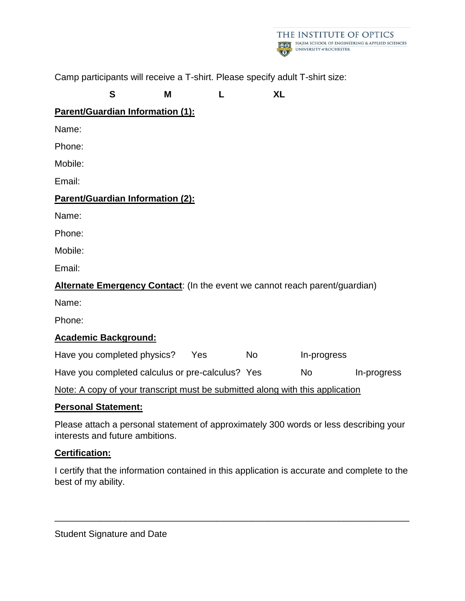

Camp participants will receive a T-shirt. Please specify adult T-shirt size:

## **S M L XL**

## **Parent/Guardian Information (1):**

Name:

Phone:

Mobile:

Email:

## **Parent/Guardian Information (2):**

Name:

Phone:

Mobile:

Email:

## **Alternate Emergency Contact**: (In the event we cannot reach parent/guardian)

Name:

Phone:

## **Academic Background:**

Have you completed physics? Yes No In-progress Have you completed calculus or pre-calculus? Yes No In-progress

Note: A copy of your transcript must be submitted along with this application

## **Personal Statement:**

Please attach a personal statement of approximately 300 words or less describing your interests and future ambitions.

## **Certification:**

I certify that the information contained in this application is accurate and complete to the best of my ability.

\_\_\_\_\_\_\_\_\_\_\_\_\_\_\_\_\_\_\_\_\_\_\_\_\_\_\_\_\_\_\_\_\_\_\_\_\_\_\_\_\_\_\_\_\_\_\_\_\_\_\_\_\_\_\_\_\_\_\_\_\_\_\_\_\_\_\_\_\_\_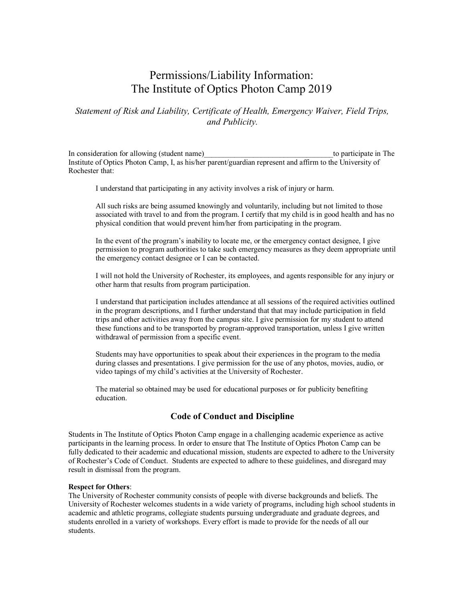## Permissions/Liability Information: The Institute of Optics Photon Camp 2019

### *Statement of Risk and Liability, Certificate of Health, Emergency Waiver, Field Trips, and Publicity.*

In consideration for allowing (student name) to participate in The Institute of Optics Photon Camp, I, as his/her parent/guardian represent and affirm to the University of Rochester that:

I understand that participating in any activity involves a risk of injury or harm.

All such risks are being assumed knowingly and voluntarily, including but not limited to those associated with travel to and from the program. I certify that my child is in good health and has no physical condition that would prevent him/her from participating in the program.

In the event of the program's inability to locate me, or the emergency contact designee, I give permission to program authorities to take such emergency measures as they deem appropriate until the emergency contact designee or I can be contacted.

I will not hold the University of Rochester, its employees, and agents responsible for any injury or other harm that results from program participation.

I understand that participation includes attendance at all sessions of the required activities outlined in the program descriptions, and I further understand that that may include participation in field trips and other activities away from the campus site. I give permission for my student to attend these functions and to be transported by program-approved transportation, unless I give written withdrawal of permission from a specific event.

Students may have opportunities to speak about their experiences in the program to the media during classes and presentations. I give permission for the use of any photos, movies, audio, or video tapings of my child's activities at the University of Rochester.

The material so obtained may be used for educational purposes or for publicity benefiting education.

### **Code of Conduct and Discipline**

Students in The Institute of Optics Photon Camp engage in a challenging academic experience as active participants in the learning process. In order to ensure that The Institute of Optics Photon Camp can be fully dedicated to their academic and educational mission, students are expected to adhere to the University of Rochester's Code of Conduct. Students are expected to adhere to these guidelines, and disregard may result in dismissal from the program.

#### **Respect for Others**:

The University of Rochester community consists of people with diverse backgrounds and beliefs. The University of Rochester welcomes students in a wide variety of programs, including high school students in academic and athletic programs, collegiate students pursuing undergraduate and graduate degrees, and students enrolled in a variety of workshops. Every effort is made to provide for the needs of all our students.